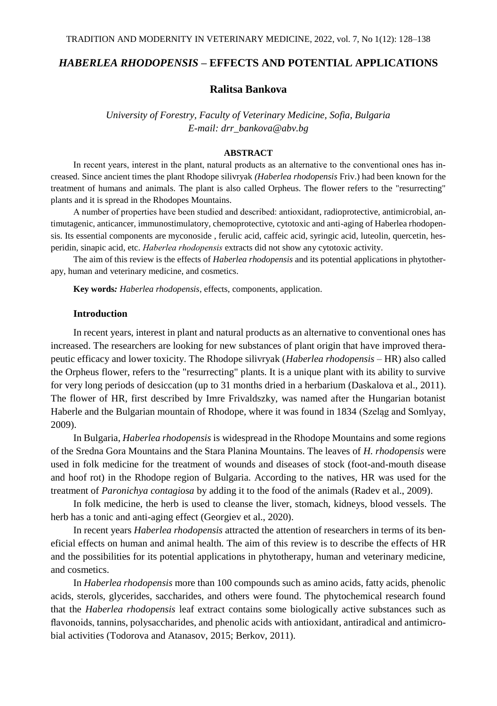## *HABERLEA RHODOPENSIS* **– EFFECTS AND POTENTIAL APPLICATIONS**

## **Ralitsa Bankova**

*University of Forestry, Faculty of Veterinary Medicine, Sofia, Bulgaria E-mail: drr\_bankova@abv.bg*

## **ABSTRACT**

In recent years, interest in the plant, natural products as an alternative to the conventional ones has increased. Since ancient times the plant Rhodope silivryak *(Haberlea rhodopensis* Friv.) had been known for the treatment of humans and animals. The plant is also called Orpheus. The flower refers to the "resurrecting" plants and it is spread in the Rhodopes Mountains.

А number of properties have been studied and described: antioxidant, radioprotective, antimicrobial, antimutagenic, anticancer, immunostimulatory, chemoprotective, cytotoxic and anti-aging of Haberlea rhodopensis. Its essential components are myconoside , ferulic acid, caffeic acid, syringic acid, luteolin, quercetin, hesperidin, sinapic acid, etc. *Hаberlea rhodopensis* extracts did not show any cytotoxic activity.

The aim of this review is the effects of *Haberlea rhodopensis* and its potential applications in phytotherapy, human and veterinary medicine, and cosmetics.

**Key words***: Haberlea rhodopensis*, effects, components, application.

## **Introduction**

In recent years, interest in plant and natural products as an alternative to conventional ones has increased. The researchers are looking for new substances of plant origin that have improved therapeutic efficacy and lower toxicity. The Rhodope silivryak (*Haberlea rhodopensis –* HR) also called the Orpheus flower, refers to the "resurrecting" plants. It is a unique plant with its ability to survive for very long periods of desiccation (up to 31 months dried in a herbarium (Daskalova et al., 2011). The flower of HR, first described by Imre Frivaldszky, was named after the Hungarian botanist Haberle and the Bulgarian mountain of Rhodope, where it was found in 1834 (Szeląg and Somlyay, 2009).

In Bulgaria, *Haberlea rhodopensis* is widespread in the Rhodope Mountains and some regions of the Sredna Gora Mountains and the Stara Planina Mountains. The leaves of *H. rhodopensis* were used in folk medicine for the treatment of wounds and diseases of stock (foot-and-mouth disease and hoof rot) in the Rhodope region of Bulgaria. According to the natives, HR was used for the treatment of *Paronichya contagiosa* by adding it to the food of the animals (Radev et al., 2009).

In folk medicine, the herb is used to cleanse the liver, stomach, kidneys, blood vessels. The herb has a tonic and anti-aging effect (Georgiev et al., 2020).

In recent years *Haberlea rhodopensis* attracted the attention of researchers in terms of its beneficial effects on human and animal health. The aim of this review is to describe the effects of HR and the possibilities for its potential applications in phytotherapy, human and veterinary medicine, and cosmetics.

In *Haberlea rhodopensis* more than 100 compounds such as amino acids, fatty acids, phenolic acids, sterols, glycerides, saccharides, and others were found. The phytochemical research found that the *Haberlea rhodopensis* leaf extract contains some biologically active substances such as flavonoids, tannins, polysaccharides, and phenolic acids with antioxidant, antiradical and antimicrobial activities (Todorova and Atanasov, 2015; Berkov, 2011).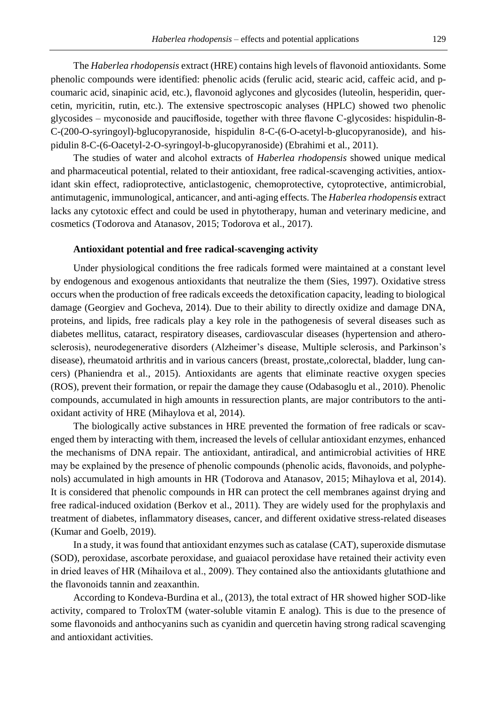The *Haberlea rhodopensis* extract (HRE) contains high levels of flavonoid antioxidants. Some phenolic compounds were identified: phenolic acids (ferulic acid, stearic acid, caffeic acid, and pcoumaric acid, sinapinic acid, etc.), flavonoid aglycones and glycosides (luteolin, hesperidin, quercetin, myricitin, rutin, etc.). The extensive spectroscopic analyses (HPLC) showed two phenolic glycosides – myconoside and paucifloside, together with three flavone C-glycosides: hispidulin-8- C-(200-O-syringoyl)-bglucopyranoside, hispidulin 8-C-(6-O-acetyl-b-glucopyranoside), and hispidulin 8-C-(6-Oacetyl-2-O-syringoyl-b-glucopyranoside) (Ebrahimi et al., 2011).

The studies of water and alcohol extracts of *Haberlea rhodopensis* showed unique medical and pharmaceutical potential, related to their antioxidant, free radical-scavenging activities, antioxidant skin effect, radioprotective, anticlastogenic, chemoprotective, cytoprotective, antimicrobial, antimutagenic, immunological, anticancer, and anti-aging effects. The *Haberlea rhodopensis* extract lacks any cytotoxic effect and could be used in phytotherapy, human and veterinary medicine, and cosmetics (Todorova and Atanasov, 2015; Todorova et al., 2017).

#### **Antioxidant potential and free radical-scavenging activity**

Under physiological conditions the free radicals formed were maintained at a constant level by endogenous and exogenous antioxidants that neutralize the them (Sies, 1997). Oxidative stress occurs when the production of free radicals exceeds the detoxification capacity, leading to biological damage (Georgiev and Gocheva, 2014). Due to their ability to directly oxidize and damage DNA, proteins, and lipids, free radicals play a key role in the pathogenesis of several diseases such as diabetes mellitus, cataract, respiratory diseases, cardiovascular diseases (hypertension and atherosclerosis), neurodegenerative disorders (Alzheimer's disease, Multiple sclerosis, and Parkinson's disease), rheumatoid arthritis and in various cancers (breast, prostate,,colorectal, bladder, lung cancers) (Phaniendra et al., 2015). Antioxidants are agents that eliminate reactive oxygen species (ROS), prevent their formation, or repair the damage they cause (Odabasoglu et al., 2010). Phenolic compounds, accumulated in high amounts in ressurection plants, are major contributors to the antioxidant activity of HRE (Mihaylova et al, 2014).

The biologically active substances in HRE prevented the formation of free radicals or scavenged them by interacting with them, increased the levels of cellular antioxidant enzymes, enhanced the mechanisms of DNA repair. The antioxidant, antiradical, and antimicrobial activities of HRE may be explained by the presence of phenolic compounds (phenolic acids, flavonoids, and polyphenols) accumulated in high amounts in HR (Todorova and Atanasov, 2015; Mihaylova et al, 2014). It is considered that phenolic compounds in HR can protect the cell membranes against drying and free radical-induced oxidation (Berkov et al., 2011). They are widely used for the prophylaxis and treatment of diabetes, inflammatory diseases, cancer, and different oxidative stress-related diseases (Kumar and Goelb, 2019).

In a study, it was found that antioxidant enzymes such as catalase (CAT), superoxide dismutase (SOD), peroxidase, ascorbate peroxidase, and guaiacol peroxidase have retained their activity even in dried leaves of HR (Мihailova et al., 2009). They contained also the antioxidants glutathione and the flavonoids tannin and zeaxanthin.

According to Kondeva-Burdina et al., (2013), the total extract of HR showed higher SOD-like activity, compared to TroloxTM (water-soluble vitamin E analog). This is due to the presence of some flavonoids and anthocyanins such as cyanidin and quercetin having strong radical scavenging and antioxidant activities.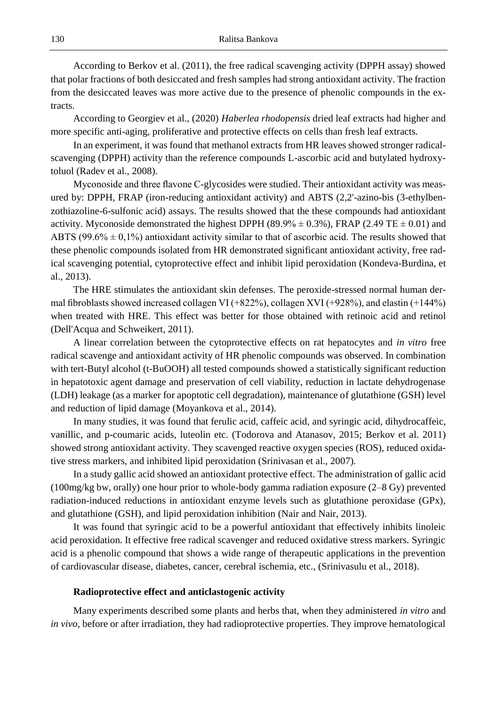According to Berkov et al. (2011), the free radical scavenging activity (DPPH assay) showed that polar fractions of both desiccated and fresh samples had strong antioxidant activity. The fraction from the desiccated leaves was more active due to the presence of phenolic compounds in the extracts.

According to Georgiev et al., (2020) *Haberlea rhodopensis* dried leaf extracts had higher and more specific anti-aging, proliferative and protective effects on cells than fresh leaf extracts.

In an experiment, it was found that methanol extracts from HR leaves showed stronger radicalscavenging (DPPH) activity than the reference compounds L-ascorbic acid and butylated hydroxytoluol (Radev et al., 2008).

Myconoside and three flavone C-glycosides were studied. Their antioxidant activity was measured by: DPPH, FRAP (iron-reducing antioxidant activity) and ABTS (2,2'-azino-bis (3-ethylbenzothiazoline-6-sulfonic acid) assays. The results showed that the these compounds had antioxidant activity. Myconoside demonstrated the highest DPPH (89.9%  $\pm$  0.3%), FRAP (2.49 TE  $\pm$  0.01) and ABTS ( $99.6\% \pm 0.1\%$ ) antioxidant activity similar to that of ascorbic acid. The results showed that these phenolic compounds isolated from HR demonstrated significant antioxidant activity, free radical scavenging potential, cytoprotective effect and inhibit lipid peroxidation (Kondeva-Burdina, et al., 2013).

The HRE stimulates the antioxidant skin defenses. The peroxide-stressed normal human dermal fibroblasts showed increased collagen VI (+822%), collagen XVI (+928%), and elastin (+144%) when treated with HRE. This effect was better for those obtained with retinoic acid and retinol (Dell'Acqua and Schweikert, 2011).

A linear correlation between the cytoprotective effects on rat hepatocytes and *in vitro* free radical scavenge and antioxidant activity of HR phenolic compounds was observed. In combination with tert-Butyl alcohol (t-BuOOH) all tested compounds showed a statistically significant reduction in hepatotoxic agent damage and preservation of cell viability, reduction in lactate dehydrogenase (LDH) leakage (as a marker for apoptotic cell degradation), maintenance of glutathione (GSH) level and reduction of lipid damage (Moyankova et al., 2014).

In many studies, it was found that ferulic acid, caffeic acid, and syringic acid, dihydrocaffeic, vanillic, and p-coumaric acids, luteolin etc. (Todorova and Atanasov, 2015; Berkov et al. 2011) showed strong antioxidant activity. They scavenged reactive oxygen species (ROS), reduced oxidative stress markers, and inhibited lipid peroxidation (Srinivasan et al., 2007).

In a study gallic acid showed an antioxidant protective effect. The administration of gallic acid (100mg/kg bw, orally) one hour prior to whole-body gamma radiation exposure (2–8 Gy) prevented radiation-induced reductions in antioxidant enzyme levels such as glutathione peroxidase (GPx), and glutathione (GSH), and lipid peroxidation inhibition (Nair and Nair, 2013).

It was found that syringic acid to be a powerful antioxidant that effectively inhibits linoleic acid peroxidation. It effective free radical scavenger and reduced oxidative stress markers. Syringic acid is a phenolic compound that shows a wide range of therapeutic applications in the prevention of cardiovascular disease, diabetes, cancer, cerebral ischemia, etc., (Srinivasulu et al., 2018).

#### **Radioprotective effect and anticlastogenic activity**

Many experiments described some plants and herbs that, when they administered *in vitro* and *in vivo*, before or after irradiation, they had radioprotective properties. They improve hematological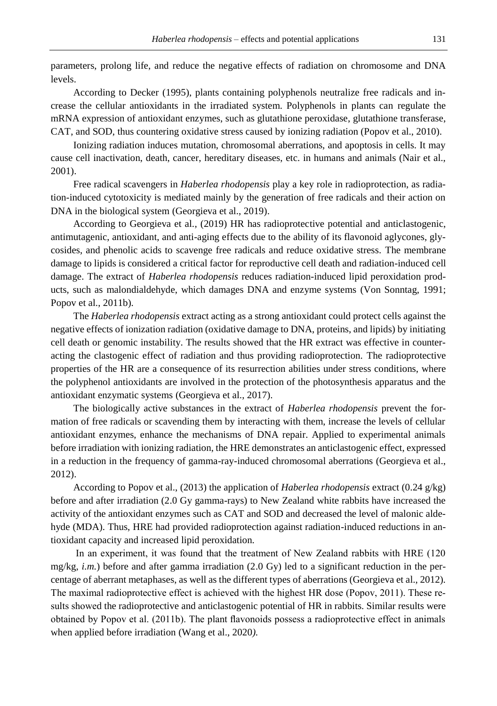parameters, prolong life, and reduce the negative effects of radiation on chromosome and DNA levels.

According to Decker (1995), plants containing polyphenols neutralize free radicals and increase the cellular antioxidants in the irradiated system. Polyphenols in plants can regulate the mRNA expression of antioxidant enzymes, such as glutathione peroxidase, glutathione transferase, CAT, and SOD, thus countering oxidative stress caused by ionizing radiation (Popov et al., 2010).

Ionizing radiation induces mutation, chromosomal aberrations, and apoptosis in cells. It may cause cell inactivation, death, cancer, hereditary diseases, etc. in humans and animals (Nair et al., 2001).

Free radical scavengers in *Haberlea rhodopensis* play a key role in radioprotection, as radiation-induced cytotoxicity is mediated mainly by the generation of free radicals and their action on DNA in the biological system (Georgieva et al., 2019).

According to Georgieva et al., (2019) HR has radioprotective potential and anticlastogenic, antimutagenic, antioxidant, and anti-aging effects due to the ability of its flavonoid aglycones, glycosides, and phenolic acids to scavenge free radicals and reduce oxidative stress. The membrane damage to lipids is considered a critical factor for reproductive cell death and radiation-induced cell damage. The extract of *Haberlea rhodopensis* reduces radiation-induced lipid peroxidation products, such as malondialdehyde, which damages DNA and enzyme systems (Von Sonntag, 1991; Popov et al., 2011b).

The *Haberlea rhodopensis* extract acting as a strong antioxidant could protect cells against the negative effects of ionization radiation (oxidative damage to DNA, proteins, and lipids) by initiating cell death or genomic instability. The results showed that the HR extract was effective in counteracting the clastogenic effect of radiation and thus providing radioprotection. The radioprotective properties of the HR are a consequence of its resurrection abilities under stress conditions, where the polyphenol antioxidants are involved in the protection of the photosynthesis apparatus and the antioxidant enzymatic systems (Georgieva et al., 2017).

The biologically active substances in the extract of *Haberlea rhodopensis* prevent the formation of free radicals or scavending them by interacting with them, increase the levels of cellular antioxidant enzymes, enhance the mechanisms of DNA repair. Applied to experimental animals before irradiation with ionizing radiation, the HRE demonstrates an anticlastogenic effect, expressed in a reduction in the frequency of gamma-ray-induced chromosomal aberrations (Georgieva et al., 2012).

According to Popov et al., (2013) the application of *Haberlea rhodopensis* extract (0.24 g/kg) before and after irradiation (2.0 Gy gamma-rays) to New Zealand white rabbits have increased the activity of the antioxidant enzymes such as CAT and SOD and decreased the level of malonic aldehyde (MDA). Thus, HRE had provided radioprotection against radiation-induced reductions in antioxidant capacity and increased lipid peroxidation.

In an experiment, it was found that the treatment of New Zealand rabbits with HRЕ (120 mg/kg, *i.m.*) before and after gamma irradiation (2.0 Gy) led to a significant reduction in the percentage of aberrant metaphases, as well as the different types of aberrations (Georgieva et al., 2012). The maximal radioprotective effect is achieved with the highest HR dose (Popov, 2011). These results showеd the radioprotective and anticlastogenic potential of HR in rabbits. Similar results were obtained by Popov et al. (2011b). The plant flavonoids possess a radioprotective effect in animals when applied before irradiation (Wang et al., 2020*).*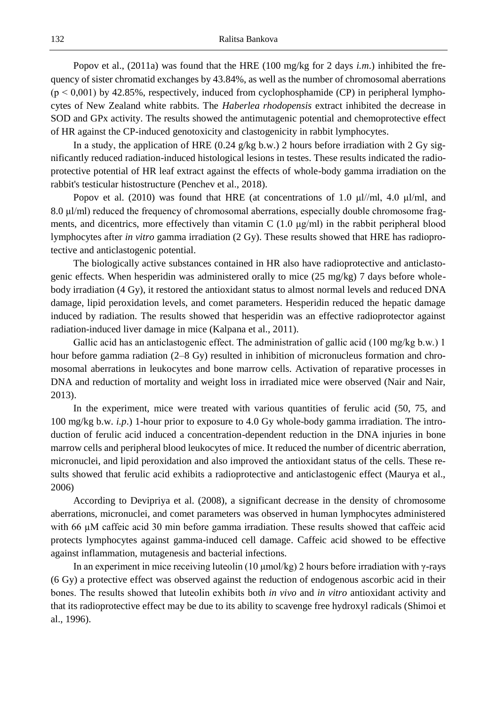Popov et al., (2011a) was found that the HRE (100 mg/kg for 2 days *i.m*.) inhibited the frequency of sister chromatid exchanges by 43.84%, as well as the number of chromosomal aberrations  $(p < 0.001)$  by 42.85%, respectively, induced from cyclophosphamide (CP) in peripheral lymphocytes of New Zealand white rabbits. The *Haberlea rhodopensis* extract inhibited the decrease in SOD and GPx activity. The results showed the antimutagenic potential and chemoprotective effect of HR against the CP-induced genotoxicity and clastogenicity in rabbit lymphocytes.

In a study, the application of HRE (0.24 g/kg b.w.) 2 hours before irradiation with 2 Gy significantly reduced radiation-induced histological lesions in testes. These results indicated the radioprotective potential of HR leaf extract against the effects of whole-body gamma irradiation on the rabbit's testicular histostructure (Penchev et al., 2018).

Popov et al. (2010) was found that HRE (at concentrations of 1.0  $\mu$ l/ml, 4.0  $\mu$ l/ml, and 8.0 μl/ml) reduced the frequency of chromosomal aberrations, especially double chromosome fragments, and dicentrics, more effectively than vitamin C  $(1.0 \text{ µg/ml})$  in the rabbit peripheral blood lymphocytes after *in vitro* gamma irradiation (2 Gy). These results showed that HRE has radioprotective and anticlastogenic potential.

The biologically active substances contained in HR also have radioprotective and anticlastogenic effects. When hesperidin was administered orally to mice (25 mg/kg) 7 days before wholebody irradiation (4 Gy), it restored the antioxidant status to almost normal levels and reduced DNA damage, lipid peroxidation levels, and comet parameters. Hesperidin reduced the hepatic damage induced by radiation. The results showed that hesperidin was an effective radioprotector against radiation-induced liver damage in mice (Kalpana et al., 2011).

Gallic acid has an anticlastogenic effect. Тhe administration of gallic acid (100 mg/kg b.w.) 1 hour before gamma radiation (2–8 Gy) resulted in inhibition of micronucleus formation and chromosomal aberrations in leukocytes and bone marrow cells. Activation of reparative processes in DNA and reduction of mortality and weight loss in irradiated mice were observed (Nair and Nair, 2013).

In the experiment, mice were treated with various quantities of ferulic acid (50, 75, and 100 mg/kg b.w. *i.p*.) 1-hour prior to exposure to 4.0 Gy whole-body gamma irradiation. The introduction of ferulic acid induced a concentration-dependent reduction in the DNA injuries in bone marrow cells and peripheral blood leukocytes of mice. It reduced the number of dicentric aberration, micronuclei, and lipid peroxidation and also improved the antioxidant status of the cells. These results showed that ferulic acid exhibits a radioprotective and anticlastogenic effect (Maurya et al., 2006)

According to Devipriya et al. (2008), a significant decrease in the density of chromosome aberrations, micronuclei, and comet parameters was observed in human lymphocytes administered with 66 µM caffeic acid 30 min before gamma irradiation. These results showеd that caffeic acid protects lymphocytes against gamma-induced cell damage. Caffeic acid showed to be effective against inflammation, mutagenesis and bacterial infections.

In an experiment in mice receiving luteolin (10 μmol/kg) 2 hours before irradiation with γ-rays (6 Gy) a protective effect was observed against the reduction of endogenous ascorbic acid in their bones. The results showеd that luteolin exhibits both *in vivo* and *in vitro* antioxidant activity and that its radioprotective effect may be due to its ability to scavenge free hydroxyl radicals (Shimoi et al., 1996).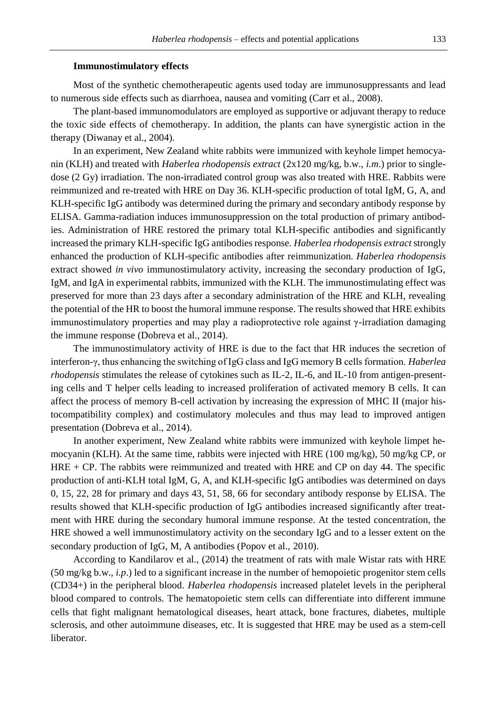# **Immunostimulatory effects**

Most of the synthetic chemotherapeutic agents used today are immunosuppressants and lead to numerous side effects such as diarrhoea, nausea and vomiting (Carr et al., 2008).

The plant-based immunomodulators are employed as supportive or adjuvant therapy to reduce the toxic side effects of chemotherapy. In addition, the plants can have synergistic action in the therapy (Diwanay et al., 2004).

In an experiment, New Zealand white rabbits were immunized with keyhole limpet hemocyanin (KLH) and treated with *Haberlea rhodopensis extract* (2x120 mg/kg, b.w., *i.m*.) prior to singledose (2 Gy) irradiation. The non-irradiated control group was also treated with HRE. Rabbits were reimmunized and re-treated with HRE on Day 36. KLH-specific production of total IgM, G, A, and KLH-specific IgG antibody was determined during the primary and secondary antibody response by ELISA. Gamma-radiation induces immunosuppression on the total production of primary antibodies. Administration of HRE restored the primary total KLH-specific antibodies and significantly increased the primary KLH-specific IgG antibodies response. *Haberlea rhodopensis extract* strongly enhanced the production of KLH-specific antibodies after reimmunization. *Haberlea rhodopensis* extract showed *in vivo* immunostimulatory activity, increasing the secondary production of IgG, IgM, and IgA in experimental rabbits, immunized with the KLH. The immunostimulating effect was preserved for more than 23 days after a secondary administration of the HRE and KLH, revealing the potential of the HR to boost the humoral immune response. The results showed that HRE exhibits immunostimulatory properties and may play a radioprotective role against γ-irradiation damaging the immune response (Dobreva et al., 2014).

The immunostimulatory activity of HRE is due to the fact that HR induces the secretion of interferon-γ, thus enhancing the switching of IgG class and IgG memory B cells formation. *Haberlea rhodopensis* stimulates the release of cytokines such as IL-2, IL-6, and IL-10 from antigen-presenting cells and T helper cells leading to increased proliferation of activated memory B cells. It can affect the process of memory B-cell activation by increasing the expression of MHC II (major histocompatibility complex) and costimulatory molecules and thus may lead to improved antigen presentation (Dobreva et al., 2014).

In another experiment, New Zealand white rabbits were immunized with keyhole limpet hemocyanin (KLH). At the same time, rabbits were injected with HRE (100 mg/kg), 50 mg/kg CP, or HRЕ + CP. The rabbits were reimmunized and treated with HRE and CP on day 44. The specific production of anti-KLH total IgM, G, A, and KLH-specific IgG antibodies was determined on days 0, 15, 22, 28 for primary and days 43, 51, 58, 66 for secondary antibody response by ELISA. The results showed that KLH-specific production of IgG antibodies increased significantly after treatment with HRE during the secondary humoral immune response. At the tested concentration, the HRE showed a well immunostimulatory activity on the secondary IgG and to a lesser extent on the secondary production of IgG, M, A antibodies (Popov et al., 2010).

According to Kandilarov et al., (2014) the treatment of rats with male Wistar rats with HRE (50 mg/kg b.w., *i.p*.) led to a significant increase in the number of hemopoietic progenitor stem cells (CD34+) in the peripheral blood. *Haberlea rhodopensis* increased platelet levels in the peripheral blood compared to controls. The hematopoietic stem cells can differentiate into different immune cells that fight malignant hematological diseases, heart attack, bone fractures, diabetes, multiple sclerosis, and other autoimmune diseases, etc. It is suggested that HRE may be used as a stem-cell liberator.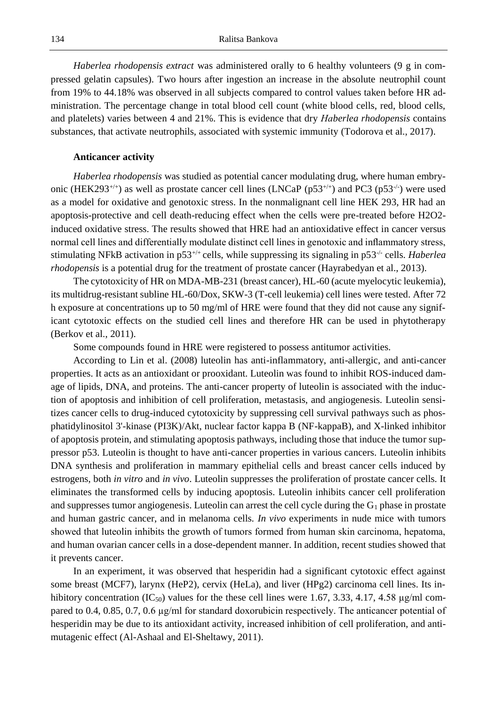*Haberlea rhodopensis extract* was administered orally to 6 healthy volunteers (9 g in compressed gelatin capsules). Two hours after ingestion an increase in the absolute neutrophil count from 19% to 44.18% was observed in all subjects compared to control values taken before HR administration. The percentage change in total blood cell count (white blood cells, red, blood cells, and platelets) varies between 4 and 21%. This is evidence that dry *Hаberlea rhodopensis* contains substances, that activate neutrophils, associated with systemic immunity (Todorova et al., 2017).

#### **Anticancer activity**

*Haberlea rhodopensis* was studied as potential cancer modulating drug, where human embryonic (HEK293<sup>+/+</sup>) as well as prostate cancer cell lines (LNCaP ( $p53^{+/+}$ ) and PC3 ( $p53^{-/}$ ) were used as a model for oxidative and genotoxic stress. In the nonmalignant cell line HEK 293, HR had an apoptosis-protective and cell death-reducing effect when the cells were pre-treated before H2O2 induced oxidative stress. The results showed that HRE had an antioxidative effect in cancer versus normal cell lines and differentially modulate distinct cell lines in genotoxic and inflammatory stress, stimulating NFkB activation in p53<sup>+/+</sup> cells, while suppressing its signaling in p53<sup>-/-</sup> cells. *Haberlea rhodopensis* is a potential drug for the treatment of prostate cancer (Hayrabedyan et al., 2013).

The cytotoxicity of HR on MDA-MB-231 (breast cancer), HL-60 (acute myelocytic leukemia), its multidrug-resistant subline HL-60/Dox, SKW-3 (T-cell leukemia) cell lines were tested. After 72 h exposure at concentrations up to 50 mg/ml of HRE were found that they did not cause any significant cytotoxic effects on the studied cell lines and therefore HR can be used in phytotherapy (Berkov et al., 2011).

Some compounds found in HRE were registered to possess antitumor activities.

According to Lin et al. (2008) luteolin has anti-inflammatory, anti-allergic, and anti-cancer properties. It acts as an antioxidant or prooxidant. Luteolin was found to inhibit ROS-induced damage of lipids, DNA, and proteins. The anti-cancer property of luteolin is associated with the induction of apoptosis and inhibition of cell proliferation, metastasis, and angiogenesis. Luteolin sensitizes cancer cells to drug-induced cytotoxicity by suppressing cell survival pathways such as phosphatidylinositol 3'-kinase (PI3K)/Akt, nuclear factor kappa B (NF-kappaB), and X-linked inhibitor of apoptosis protein, and stimulating apoptosis pathways, including those that induce the tumor suppressor p53. Luteolin is thought to have anti-cancer properties in various cancers. Luteolin inhibits DNA synthesis and proliferation in mammary epithelial cells and breast cancer cells induced by estrogens, both *in vitro* and *in vivo*. Luteolin suppresses the proliferation of prostate cancer cells. It eliminates the transformed cells by inducing apoptosis. Luteolin inhibits cancer cell proliferation and suppresses tumor angiogenesis. Luteolin can arrest the cell cycle during the  $G_1$  phase in prostate and human gastric cancer, and in melanoma cells. *In vivo* experiments in nude mice with tumors showеd that luteolin inhibits the growth of tumors formed from human skin carcinoma, hepatoma, and human ovarian cancer cells in a dose-dependent manner. In addition, recent studies showed that it prevents cancer.

In an experiment, it was observed that hesperidin had a significant cytotoxic effect against some breast (MCF7), larynx (HeP2), cervix (HeLa), and liver (HPg2) carcinoma cell lines. Its inhibitory concentration (IC<sub>50</sub>) values for the these cell lines were 1.67, 3.33, 4.17, 4.58  $\mu$ g/ml compared to 0.4, 0.85, 0.7, 0.6 µg/ml for standard doxorubicin respectively. The anticancer potential of hesperidin may be due to its antioxidant activity, increased inhibition of cell proliferation, and antimutagenic effect (Al-Ashaal and El-Sheltawy, 2011).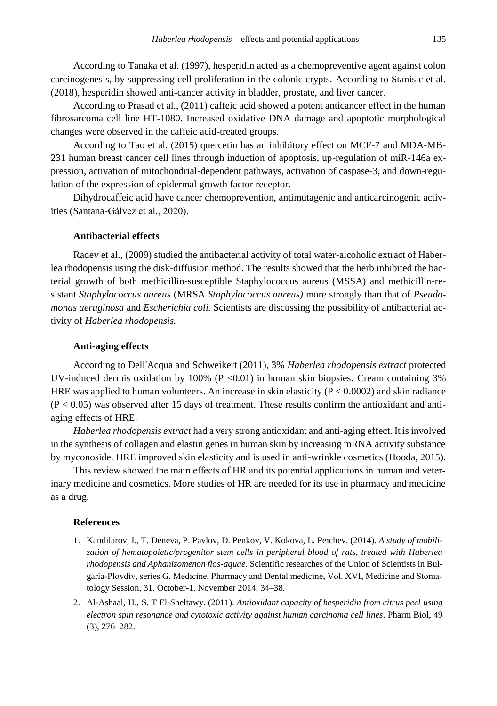According to Tanaka et al. (1997), hesperidin acted as a chemopreventive agent against colon carcinogenesis, by suppressing cell proliferation in the colonic crypts. According to Stanisic et al. (2018), hesperidin showed anti-cancer activity in bladder, prostate, and liver cancer.

According to Prasad et al., (2011) caffeic acid showed a potent anticancer effect in the human fibrosarcoma cell line HT-1080. Increased oxidative DNA damage and apoptotic morphological changes were observed in the caffeic acid-treated groups.

According to Tao et al. (2015) quercetin has an inhibitory effect on MCF-7 and MDA-MB-231 human breast cancer cell lines through induction of apoptosis, up-regulation of miR-146a expression, activation of mitochondrial-dependent pathways, activation of caspase-3, and down-regulation of the expression of epidermal growth factor receptor.

Dihydrocaffeic acid have cancer chemoprevention, antimutagenic and anticarcinogenic activities (Santana-Gálvez et al., 2020).

## **Antibacterial effects**

Radev et al., (2009) studied the antibacterial activity of total water-alcoholic extract of Haberlea rhodopensis using the disk-diffusion method. The results showed that the herb inhibited the bacterial growth of both methicillin-susceptible Staphylococcus aureus (MSSA) and methicillin-resistant *Staphylococcus aureus* (MRSA *Staphylococcus aureus)* more strongly than that of *Pseudomonas aeruginosa* and *Escherichia coli.* Scientists are discussing the possibility of antibacterial activity of *Haberlea rhodopensis.*

### **Anti-aging effects**

According to Dell'Acqua and Schweikert (2011), 3% *Haberlea rhodopensis extract* protected UV-induced dermis oxidation by 100% ( $P < 0.01$ ) in human skin biopsies. Cream containing 3% HRE was applied to human volunteers. An increase in skin elasticity ( $P < 0.0002$ ) and skin radiance  $(P < 0.05)$  was observed after 15 days of treatment. These results confirm the antioxidant and antiaging effects of HRE.

*Haberlea rhodopensis extract* had a very strong antioxidant and anti-aging effect. It is involved in the synthesis of collagen and elastin genes in human skin by increasing mRNA activity substance by myconoside. HRE improved skin elasticity and is used in anti-wrinkle cosmetics (Hooda, 2015).

This review showеd the main effects of HR and its potential applications in human and veterinary medicine and cosmetics. More studies of HR are needed for its use in pharmacy and medicine as a drug.

#### **References**

- 1. Kandilarov, I., T. Deneva, P. Pavlov, D. Penkov, V. Kokova, L. Peĭchev. (2014). *A study of mobili*zation of hematopoietic/progenitor stem cells in peripheral blood of rats, treated with Haberlea *rhodopensis and Aphanizomenon flos-aquae*. Scientific researches of the Union of Scientists in Bulgaria-Plovdiv, series G. Medicine, Pharmacy and Dental medicine, Vol. ХVI, Medicine and Stomatology Session, 31. October-1. November 2014, 34–38.
- 2. Al-Ashaal, H., S. T El-Sheltawy. (2011). *Antioxidant capacity of hesperidin from citrus peel using electron spin resonance and cytotoxic activity against human carcinoma cell lines*. Pharm Biol, 49 (3), 276–282.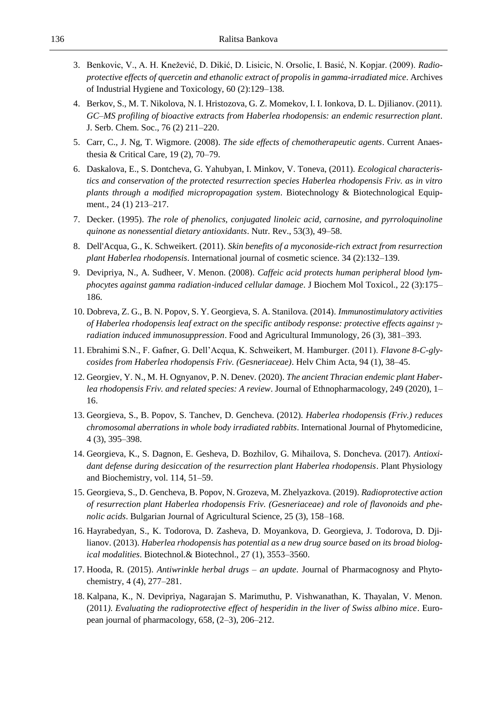- 3. Benkovic, V., A. H. Knežević, D. Dikić, D. Lisicic, N. Orsolic, I. Basić, N. Kopjar. (2009). *Radioprotective effects of quercetin and ethanolic extract of propolis in gamma-irradiated mice*. Archives of Industrial Hygiene and Toxicology, 60 (2):129–138.
- 4. Berkov, S., M. T. Nikolova, N. I. Hristozova, G. Z. Momekov, I. I. Ionkova, D. L. Djilianov. (2011). *GC–MS profiling of bioactive extracts from Haberlea rhodopensis: an endemic resurrection plant*. J. Serb. Chem. Soc., 76 (2) 211–220.
- 5. Carr, C., J. Ng, T. Wigmore. (2008). *The side effects of chemotherapeutic agents*. Current Anaesthesia & Critical Care, 19 (2), 70–79.
- 6. Daskalova, E., S. Dontcheva, G. Yahubyan, I. Minkov, V. Toneva, (2011). *Ecological characteristics and conservation of the protected resurrection species Haberlea rhodopensis Friv. as in vitro plants through a modified micropropagation system*. Biotechnology & Biotechnological Equipment., 24 (1) 213–217.
- 7. Decker. (1995). *The role of phenolics, conjugated linoleic acid, carnosine, and pyrroloquinoline quinone as nonessential dietary antioxidants*. Nutr. Rev., 53(3), 49–58.
- 8. Dell'Acqua, G., K. Schweikert. (2011). *Skin benefits of a myconoside-rich extract from resurrection plant Haberlea rhodopensis*. International journal of cosmetic science. 34 (2):132–139.
- 9. Devipriya, N., A. Sudheer, V. Menon. (2008). *Caffeic acid protects human peripheral blood lymphocytes against gamma radiation*‐*induced cellular damage*. J Biochem Mol Toxicol., 22 (3):175– 186.
- 10. Dobreva, Z. G., B. N. Popov, S. Y. Georgieva, S. A. Stanilova. (2014). *Immunostimulatory activities of Haberlea rhodopensis leaf extract on the specific antibody response: protective effects against γradiation induced immunosuppression*. Food and Agricultural Immunology, 26 (3), 381–393.
- 11. Ebrahimi S.N., F. Gafner, G. Dell'Acqua, K. Schweikert, M. Hamburger. (2011). *Flavone 8-C-glycosides from Haberlea rhodopensis Friv. (Gesneriaceae)*. Helv Chim Acta, 94 (1), 38–45.
- 12. Georgiev, Y. N., M. H. Ognyanov, P. N. Denev. (2020). *The ancient Thracian endemic plant Haberlea rhodopensis Friv. and related species: A review*. Journal of Ethnopharmacology, 249 (2020), 1– 16.
- 13. Georgieva, S., B. Popov, S. Tanchev, D. Gencheva. (2012). *Haberlea rhodopensis (Friv.) reduces chromosomal aberrations in whole body irradiated rabbits*. International Journal of Phytomedicine, 4 (3), 395–398.
- 14. Georgieva, K., S. Dagnon, E. Gesheva, D. Bozhilov, G. Mihailova, S. Doncheva. (2017). *Antioxidant defense during desiccation of the resurrection plant Haberlea rhodopensis*. Plant Physiology and Biochemistry, vol. 114, 51–59.
- 15. Georgieva, S., D. Gencheva, B. Popov, N. Grozeva, M. Zhelyazkova. (2019). *Radioprotective action of resurrection plant Haberlea rhodopensis Friv. (Gesneriaceae) and role of flavonoids and phenolic acids*. Bulgarian Journal of Agricultural Science, 25 (3), 158–168.
- 16. Hayrabedyan, S., K. Todorova, D. Zasheva, D. Moyankova, D. Georgieva, J. Todorova, D. Djilianov. (2013). *Haberlea rhodopensis has potential as a new drug source based on its broad biological modalities*. Biotechnol.& Biotechnol., 27 (1), 3553–3560.
- 17. Hooda, R. (2015). *Antiwrinkle herbal drugs – an update*. Journal of Pharmacognosy and Phytochemistry, 4 (4), 277–281.
- 18. Kalpana, K., N. Devipriya, Nagarajan S. Marimuthu, P. Vishwanathan, K. Thayalan, V. Menon. (2011*). Evaluating the radioprotective effect of hesperidin in the liver of Swiss albino mice*. European journal of pharmacology, 658, (2–3), 206–212.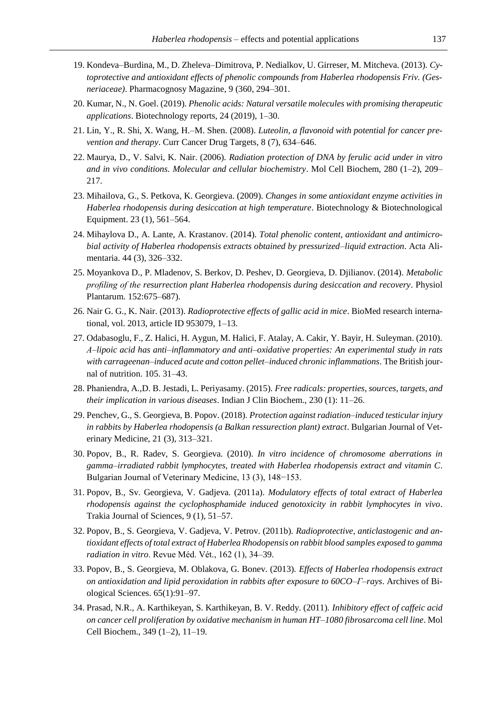- 19. Kondeva–Burdina, M., D. Zheleva–Dimitrova, P. Nedialkov, U. Girreser, M. Mitcheva. (2013). *Cytoprotective and antioxidant effects of phenolic compounds from Haberlea rhodopensis Friv. (Gesneriaceae)*. Pharmacognosy Magazine, 9 (360, 294–301.
- 20. Kumar, N., N. Goel. (2019). *Phenolic acids: Natural versatile molecules with promising therapeutic applications*. Biotechnology reports, 24 (2019), 1–30.
- 21. Lin, Y., R. Shi, X. Wang, H.–M. Shen. (2008). *Luteolin, a flavonoid with potential for cancer prevention and therapy*. Curr Cancer Drug Targets, 8 (7), 634–646.
- 22. Maurya, D., V. Salvi, K. Nair. (2006). *Radiation protection of DNA by ferulic acid under in vitro and in vivo conditions. Molecular and cellular biochemistry*. Mol Cell Biochem, 280 (1–2), 209– 217.
- 23. Mihailova, G., S. Petkova, K. Georgieva. (2009). *Changes in some antioxidant enzyme activities in Haberlea rhodopensis during desiccation at high temperature*. Biotechnology & Biotechnological Equipment. 23 (1), 561–564.
- 24. Mihaylova D., A. Lante, A. Krastanov. (2014). *Total phenolic content, antioxidant and antimicrobial activity of Haberlea rhodopensis extracts obtained by pressurized–liquid extraction*. Acta Alimentaria. 44 (3), 326–332.
- 25. Moyankova D., P. Mladenov, S. Berkov, D. Peshev, D. Georgieva, D. Djilianov. (2014). *Metabolic profiling of the resurrection plant Haberlea rhodopensis during desiccation and recovery*. Physiol Plantarum. 152:675–687).
- 26. Nair G. G., K. Nair. (2013). *Radioprotective effects of gallic acid in mice*. BioMed research international, vol. 2013, article ID 953079, 1–13.
- 27. Odabasoglu, F., Z. Halici, H. Aygun, M. Halici, F. Atalay, A. Cakir, Y. Bayir, H. Suleyman. (2010). *Α–lipoic acid has anti–inflammatory and anti–oxidative properties: An experimental study in rats with carrageenan–induced acute and cotton pellet–induced chronic inflammations*. The British journal of nutrition. 105. 31–43.
- 28. Phaniendra, A.,D. B. Jestadi, L. Periyasamy. (2015). *Free radicals: properties, sources, targets, and their implication in various diseases*. Indian J Clin Biochem., 230 (1): 11–26.
- 29. Penchev, G., S. Georgieva, B. Popov. (2018). *Protection against radiation–induced testicular injury in rabbits by Haberlea rhodopensis (a Balkan ressurection plant) extract*. Bulgarian Journal of Veterinary Medicine, 21 (3), 313–321.
- 30. Popov, B., R. Radev, S. Georgieva. (2010). *In vitro incidence of chromosome aberrations in gamma–irradiated rabbit lymphocytes, treated with Haberlea rhodopensis extract and vitamin C*. Bulgarian Journal of Veterinary Medicine, 13 (3), 148−153.
- 31. Popov, B., Sv. Georgieva, V. Gadjeva. (2011a). *Modulatory effects of total extract of Haberlea rhodopensis against the cyclophosphamide induced genotoxicity in rabbit lymphocytes in vivo*. Trakia Journal of Sciences, 9 (1), 51–57.
- 32. Popov, B., S. Georgieva, V. Gadjeva, V. Petrov. (2011b). *Radioprotective, anticlastogenic and antioxidant effects of total extract of Haberlea Rhodopensis on rabbit blood samples exposed to gamma radiation in vitro*. Revue Méd. Vét., 162 (1), 34–39.
- 33. Popov, B., S. Georgieva, M. Oblakova, G. Bonev. (2013). *Effects of Haberlea rhodopensis extract on antioxidation and lipid peroxidation in rabbits after exposure to 60CO–Γ–rays*. Archives of Biological Sciences. 65(1):91–97.
- 34. Prasad, N.R., A. Karthikeyan, S. Karthikeyan, B. V. Reddy. (2011). *Inhibitory effect of caffeic acid on cancer cell proliferation by oxidative mechanism in human HT–1080 fibrosarcoma cell line*. Mol Cell Biochem., 349 (1–2), 11–19.